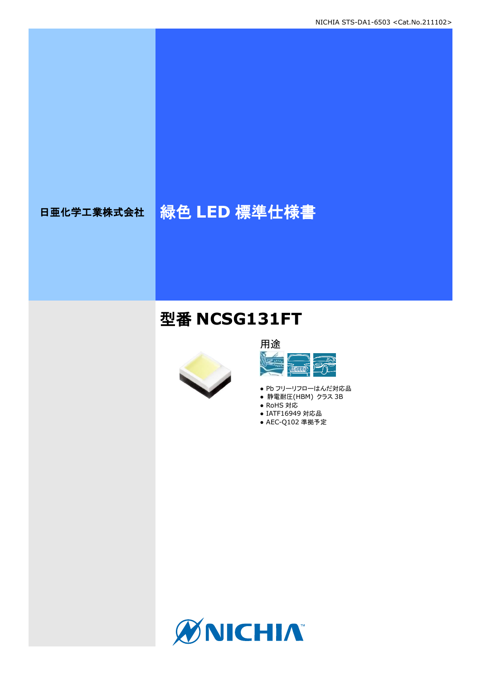# 日亜化学工業株式会社 <mark>緑色 LED 標準仕様書</mark>

## 型番 **NCSG131FT**



### 用途 **ARIT** <u>ज़ैं पर</u>

- Pb フリーリフローはんだ対応品
- 静電耐圧(HBM) クラス 3B
- RoHS 対応 ● IATF16949 対応品
- AEC-Q102 準拠予定

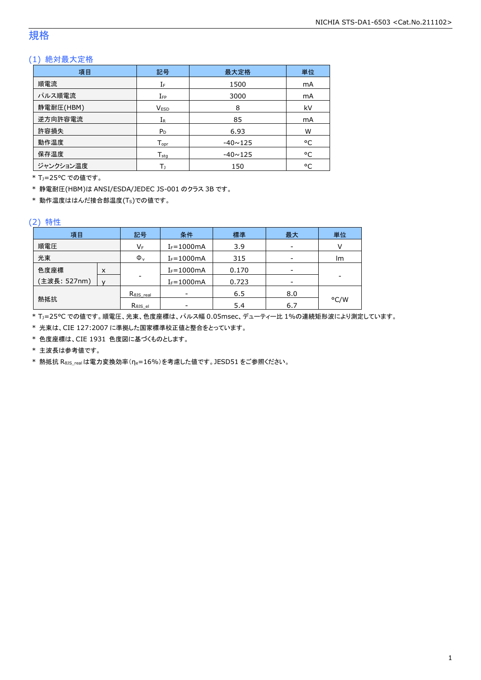### 規格

### (1) 絶対最大定格

| 項目        | 最大定格<br>記号                 |                | 単位 |
|-----------|----------------------------|----------------|----|
| 順電流       | IF                         | 1500           | mA |
| パルス順電流    | 3000<br>$I_{FP}$           |                | mA |
| 静電耐圧(HBM) | <b>VESD</b>                | 8              | kV |
| 逆方向許容電流   | $I_{R}$                    | 85             | mA |
| 許容損失      | P <sub>D</sub>             | 6.93           | W  |
| 動作温度      | $T_{\text{opt}}$           | $-40 \sim 125$ | °C |
| 保存温度      | ${\mathsf T}_{\text{sta}}$ | $-40 \sim 125$ | °C |
| ジャンクション温度 | Т١                         | 150            | °C |

\* TJ=25°C での値です。

\* 静電耐圧(HBM)は ANSI/ESDA/JEDEC JS-001 のクラス 3B です。

\* 動作温度ははんだ接合部温度(TS)での値です。

#### (2) 特性

| 項目           |   | 記号                   | 条件             | 標準    | 最大  | 単位   |
|--------------|---|----------------------|----------------|-------|-----|------|
| 順電圧          |   | VF                   | $I_F = 1000mA$ | 3.9   | -   |      |
| 光束           |   | $\Phi_{\rm v}$       | $I_F = 1000mA$ | 315   |     | Im   |
| 色度座標         | X |                      | $I_F = 1000mA$ | 0.170 |     |      |
| (主波長: 527nm) |   | ۰                    | $I_F = 1000mA$ | 0.723 |     |      |
|              |   | $R_{\theta}$ JS real |                | 6.5   | 8.0 |      |
| 熱抵抗          |   | Rejs el              |                | 5.4   | 6.7 | °C/W |

\* TJ=25°C での値です。順電圧、光束、色度座標は、パルス幅 0.05msec、デューティー比 1%の連続矩形波により測定しています。

\* 光束は、CIE 127:2007 に準拠した国家標準校正値と整合をとっています。

\* 色度座標は、CIE 1931 色度図に基づくものとします。

\* 主波長は参考値です。

\* 熱抵抗 RθJS\_realは電力変換効率(ηe=16%)を考慮した値です。JESD51 をご参照ください。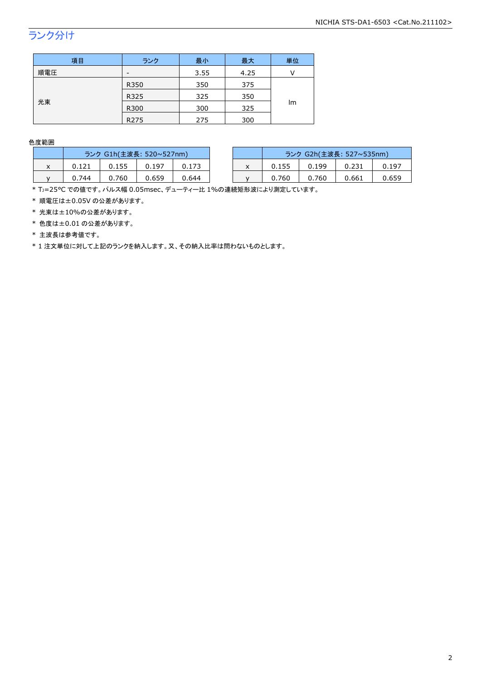## ランク分け

| 項目  | ランク  | 最小   | 最大   | 単位 |  |
|-----|------|------|------|----|--|
| 順電圧 | -    | 3.55 | 4.25 |    |  |
|     | R350 | 350  | 375  | Im |  |
|     | R325 | 325  | 350  |    |  |
| 光束  | R300 | 300  | 325  |    |  |
|     | R275 | 275  | 300  |    |  |

#### 色度範囲

|           | ランク G1h(主波長: 520~527nm) |       |       |       |           | ランク G2h(主波長: 527~535nm) |       |       |       |
|-----------|-------------------------|-------|-------|-------|-----------|-------------------------|-------|-------|-------|
| $\lambda$ | 0.121                   | 0.155 | 0.197 |       | $\lambda$ | 0.155                   | 0.199 |       | 0.197 |
|           | 0.744                   | 0.760 | 0.659 | 0.644 |           | 0.760                   | 0.760 | 0.661 | 0.659 |

\* TJ=25°C での値です。パルス幅 0.05msec、デューティー比 1%の連続矩形波により測定しています。

\* 順電圧は±0.05V の公差があります。

\* 光束は±10%の公差があります。

\* 色度は±0.01 の公差があります。

\* 主波長は参考値です。

\* 1 注文単位に対して上記のランクを納入します。又、その納入比率は問わないものとします。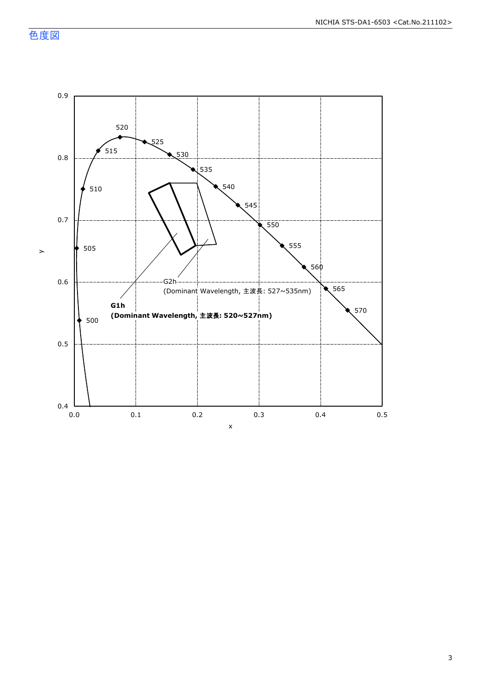色度図

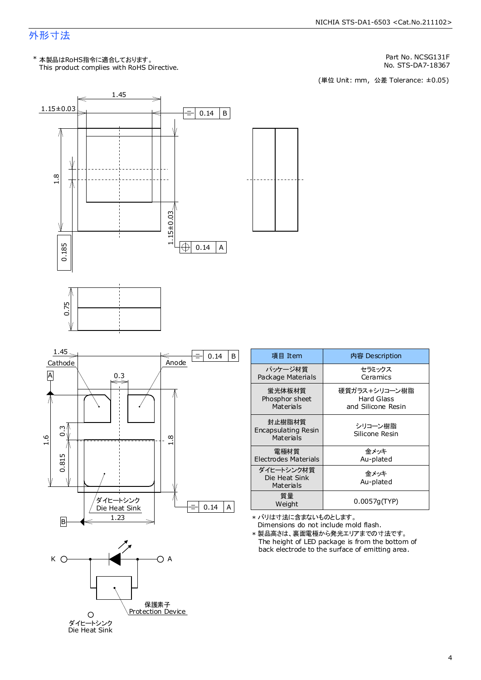### 外形寸法

This product complies with RoHS Directive. \* 本製品はRoHS指令に適合しております。

Part No. NCSG131F

No. STS-DA7-18367<br>(単位 Unit: mm, 公差 Tolerance: ±0.05)







| 項目 Item                                           | 内容 Description                                           |
|---------------------------------------------------|----------------------------------------------------------|
| パッケージ材質<br>Package Materials                      | セラミックス<br>Ceramics                                       |
| 蛍光体板材質<br>Phosphor sheet<br>Materials             | 硬質ガラス+シリコ─ン樹脂<br><b>Hard Glass</b><br>and Silicone Resin |
| 封止樹脂材質<br>Encapsulating Resin<br><b>Materials</b> | シリコーン樹脂<br>Silicone Resin                                |
| 電極材質<br>Electrodes Materials                      | 金メッキ<br>Au-plated                                        |
| ダイヒートシンク材質<br>Die Heat Sink<br>Materials          | 金メッキ<br>Au-plated                                        |
| 質量<br>Weight                                      | 0.0057g(TYP)                                             |

Dimensions do not include mold flash. \* バリは寸法に含まないものとします。

The height of LED package is from the bottom of back electrode to the surface of emitting area.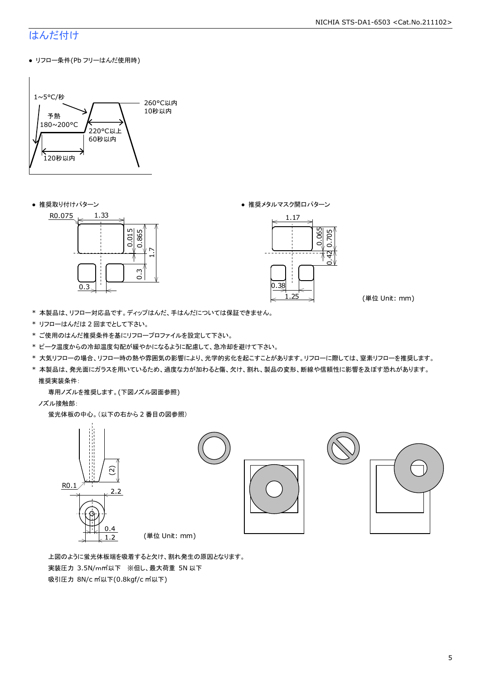### はんだ付け

● リフロー条件(Pb フリーはんだ使用時)



● 推奨取り付けパターン ろんじょう しょうしゃ ゆうしゃ ウィック あんきょう きょうかん きゅうしょく 推奨メタルマスク開口パターン





(単位 Unit: mm)

- \* 本製品は、リフロー対応品です。ディップはんだ、手はんだについては保証できません。
- \* リフローはんだは 2 回までとして下さい。
- \* ご使用のはんだ推奨条件を基にリフロープロファイルを設定して下さい。
- \* ピーク温度からの冷却温度勾配が緩やかになるように配慮して、急冷却を避けて下さい。
- \* 大気リフローの場合、リフロー時の熱や雰囲気の影響により、光学的劣化を起こすことがあります。リフローに際しては、窒素リフローを推奨します。
- \* 本製品は、発光面にガラスを用いているため、過度な力が加わると傷、欠け、割れ、製品の変形、断線や信頼性に影響を及ぼす恐れがあります。 推奨実装条件:

専用ノズルを推奨します。(下図ノズル図面参照)

ノズル接触部:

蛍光体板の中心。(以下の右から 2 番目の図参照)



 上図のように蛍光体板端を吸着すると欠け、割れ発生の原因となります。 実装圧力 3.5N/m㎡以下 ※但し、最大荷重 5N 以下 吸引圧力 8N/c ㎡以下(0.8kgf/c ㎡以下)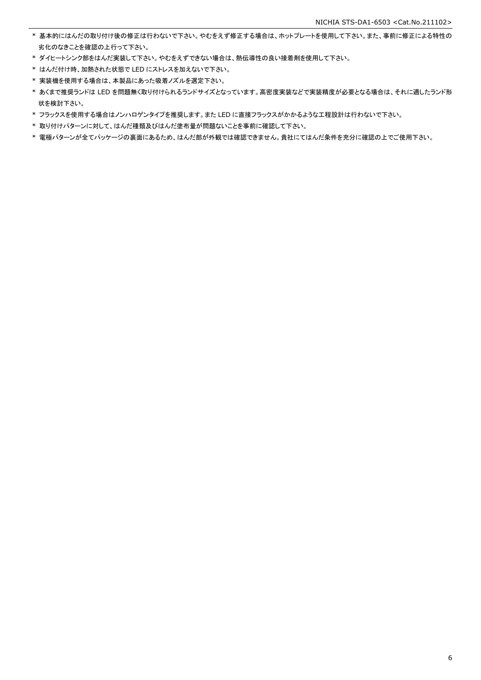- \* 基本的にはんだの取り付け後の修正は行わないで下さい。やむをえず修正する場合は、ホットプレートを使用して下さい。また、事前に修正による特性の 劣化のなきことを確認の上行って下さい。
- \* ダイヒートシンク部をはんだ実装して下さい。やむをえずできない場合は、熱伝導性の良い接着剤を使用して下さい。
- \* はんだ付け時、加熱された状態で LED にストレスを加えないで下さい。
- \* 実装機を使用する場合は、本製品にあった吸着ノズルを選定下さい。
- \* あくまで推奨ランドは LED を問題無く取り付けられるランドサイズとなっています。高密度実装などで実装精度が必要となる場合は、それに適したランド形 状を検討下さい。
- \* フラックスを使用する場合はノンハロゲンタイプを推奨します。また LED に直接フラックスがかかるような工程設計は行わないで下さい。
- \* 取り付けパターンに対して、はんだ種類及びはんだ塗布量が問題ないことを事前に確認して下さい。
- \* 電極パターンが全てパッケージの裏面にあるため、はんだ部が外観では確認できません。貴社にてはんだ条件を充分に確認の上でご使用下さい。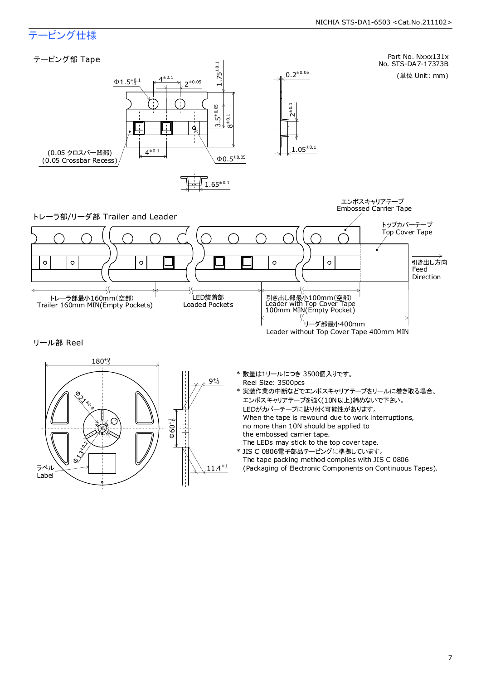### テーピング仕様

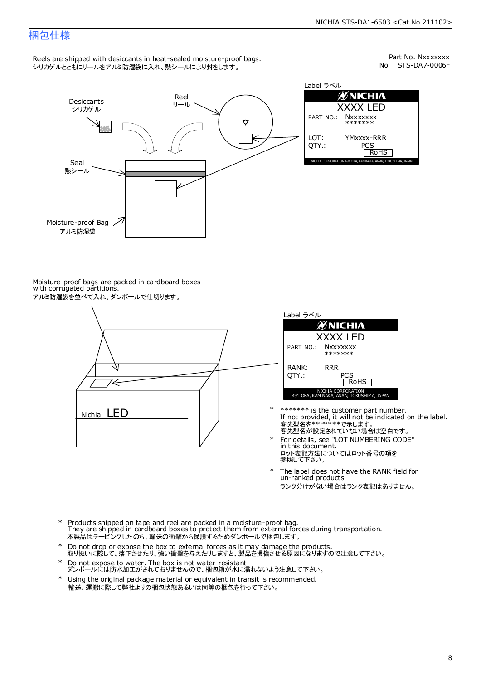### 梱包仕様

Reels are shipped with desiccants in heat-sealed moisture-proof bags. シリカゲルとともにリールをアルミ防湿袋に入れ、熱シールにより封をします。

No. STS-DA7-0006F Part No. Nxxxxxxx



| Label ラベル     |                                                              |  |  |  |  |  |  |
|---------------|--------------------------------------------------------------|--|--|--|--|--|--|
|               | ØNICHIA                                                      |  |  |  |  |  |  |
| XXXX LED      |                                                              |  |  |  |  |  |  |
|               | PART NO.: NXXXXXXX<br>*******                                |  |  |  |  |  |  |
| LOT:<br>OTY.: | YMxxxx-RRR<br>PCS<br><b>RoHS</b>                             |  |  |  |  |  |  |
|               | NICHIA CORPORATION 491 OKA, KAMINAKA, ANAN, TOKUSHIMA, JAPAN |  |  |  |  |  |  |

Moisture-proof bags are packed in cardboard boxes with corrugated partitions. アルミ防湿袋を並べて入れ、ダンボールで仕切ります。





- 客先型名を\*\*\*\*\*\*\*\*で示します。<br>客先型名が設定されていない場合は空白です。 If not provided, it will not be indicated on the label. \*\*\*\*\*\*\* is the customer part number.
- For details, see "LOT NUMBERING CODE" in this document. ロット表記方法についてはロット番号の項を<br>参照して下さい。 \*
- The label does not have the RANK field for un-ranked products. ランク分けがない場合はランク表記はありません。 \*
- Products shipped on tape and reel are packed in a moisture-proof bag. They are shipped in cardboard boxes to protect them from external forces during transportation. 本製品はテーピングしたのち、輸送の衝撃から保護するためダンボールで梱包します。 \*
- Do not drop or expose the box to external forces as it may damage the products. 取り扱いに際して、落下させたり、強い衝撃を与えたりしますと、製品を損傷させる原因になりますので注意して下さい。 \*
- Do not expose to water. The box is not water-resistant. ダンボールには防水加工がされておりませんので、梱包箱が水に濡れないよう注意して下さい。 \*
- \* Using the original package material or equivalent in transit is recommended. 輸送、運搬に際して弊社よりの梱包状態あるいは同等の梱包を行って下さい。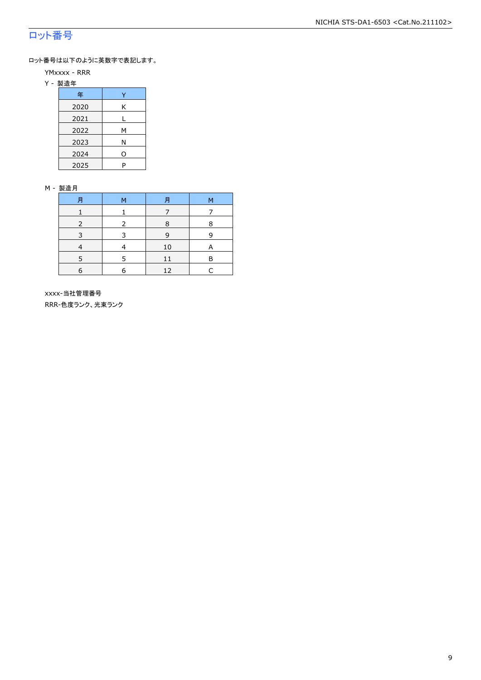### ロット番号

ロット番号は以下のように英数字で表記します。

- YMxxxx RRR
- Y 製造年

| 年    |   |
|------|---|
| 2020 | Κ |
| 2021 |   |
| 2022 | м |
| 2023 | Ν |
| 2024 | ი |
| 2025 | P |

#### M - 製造月

|   | M | F  | М |
|---|---|----|---|
|   |   |    |   |
|   | 2 | 8  | 8 |
|   |   | q  | q |
|   |   | 10 |   |
|   |   |    | в |
| 6 |   | 12 |   |

 xxxx-当社管理番号 RRR-色度ランク、光束ランク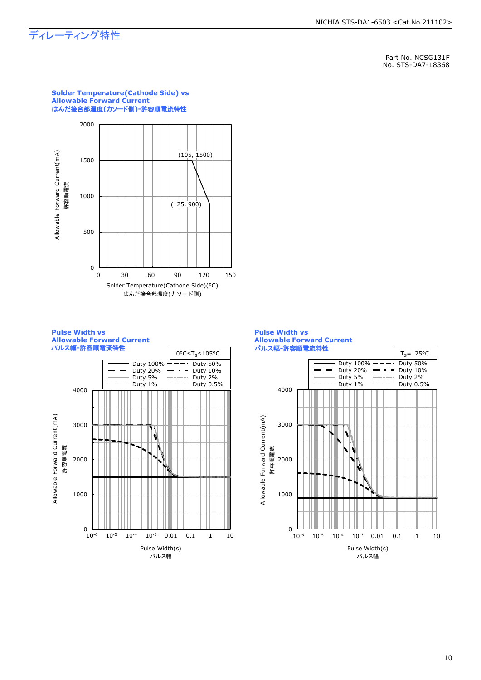### ディレーティング特性

Part No. NCSG131F No. STS-DA7-18368



**Pulse Width vs Allowable Forward Current** パルス幅**-**許容順電流特性



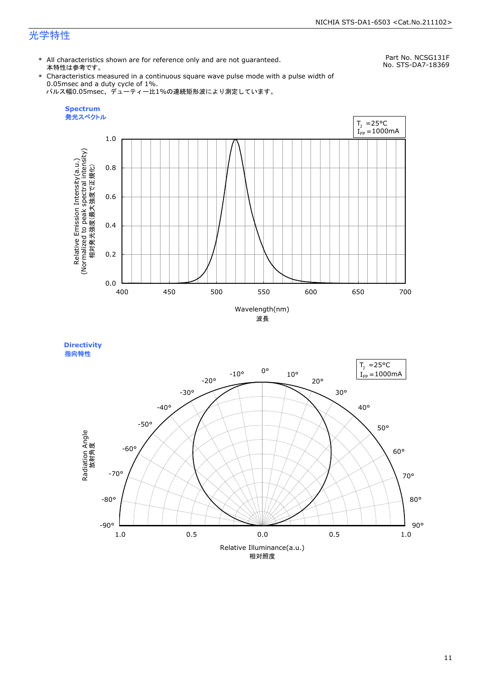### 光学特性

\* All characteristics shown are for reference only and are not guaranteed. 本特性は参考です。

Part No. NCSG131F No. STS-DA7-18369

\* Characteristics measured in a continuous square wave pulse mode with a pulse width of 0.05msec and a duty cycle of 1%. パルス幅0.05msec、デューティー比1%の連続矩形波により測定しています。







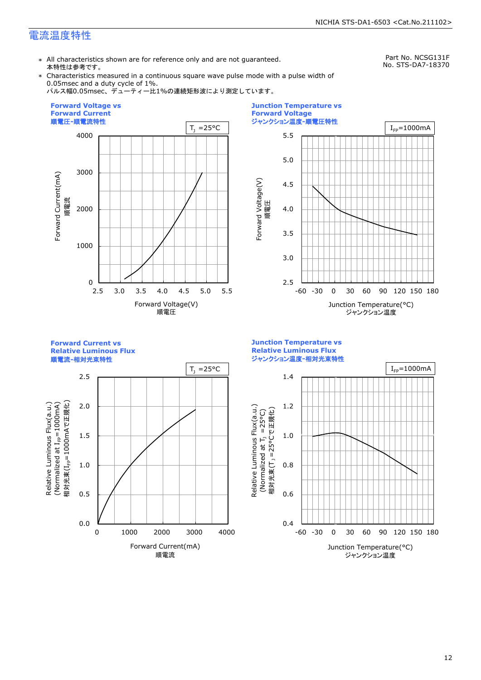### 電流温度特性

\* All characteristics shown are for reference only and are not guaranteed. 本特性は参考です。

Part No. NCSG131F No. STS-DA7-18370

\* Characteristics measured in a continuous square wave pulse mode with a pulse width of 0.05msec and a duty cycle of 1%.

パルス幅0.05msec、デューティー比1%の連続矩形波により測定しています。





**Forward Current vs Relative Luminous Flux**





**Junction Temperature vs Relative Luminous Flux** ジャンクション温度**-**相対光束特性

Relative Luminous Flux(a.u.)

Relative Luminous Flux(a.u.)

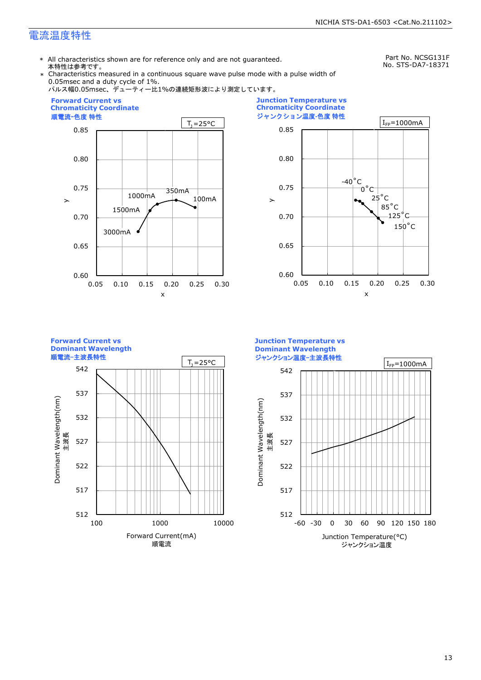### 電流温度特性

\* All characteristics shown are for reference only and are not guaranteed. 本特性は参考です。

Part No. NCSG131F

Characteristics measured in a continuous square wave pulse mode with a pulse width of 0.05msec and a duty cycle of 1%. パルス幅0.05msec、デューティー比1%の連続矩形波により測定しています。

No. STS-DA7-18371





**Forward Current vs Dominant Wavelength** 順電流-主波長特性 512 517 522 527 532 537 542 100 1000 10000 Forward Current(mA) 順電流 Dominant Wavelength(nm)<br>主波長 Dominant Wavelength(nm)  $T_1 = 25^{\circ}C$ 

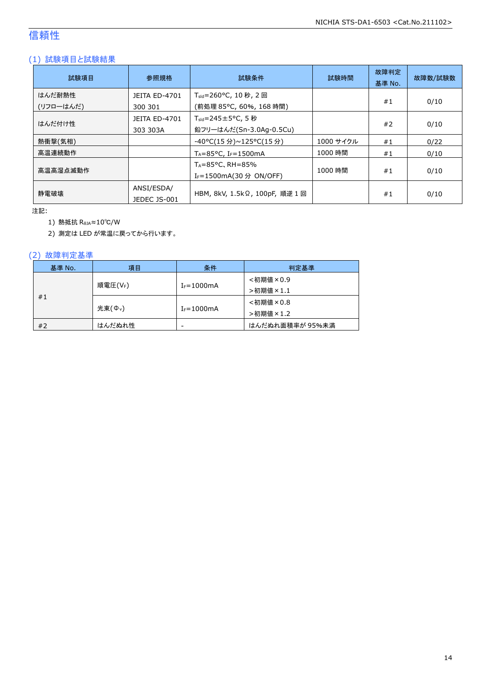### 信頼性

### (1) 試験項目と試験結果

| 試験項目                | 参照規格                             | 試験条件                                                                   | 試験時間      | 故障判定<br>基準 No. | 故障数/試験数 |
|---------------------|----------------------------------|------------------------------------------------------------------------|-----------|----------------|---------|
| はんだ耐熱性<br>(リフローはんだ) | <b>JEITA ED-4701</b><br>300 301  | T <sub>sld</sub> =260°C, 10 秒, 2 回<br>(前処理 85℃, 60%, 168 時間)           |           | #1             | 0/10    |
| はんだ付け性              | <b>JEITA ED-4701</b><br>303 303A | $T_{\text{std}} = 245 \pm 5^{\circ}$ C, 5 秒<br>鉛フリーはんだ(Sn-3.0Ag-0.5Cu) |           | #2             | 0/10    |
| 熱衝撃(気相)             |                                  | -40°C(15 分)~125°C(15 分)                                                | 1000 サイクル | #1             | 0/22    |
| 高温連続動作              |                                  | $T_A = 85^{\circ}$ C, I <sub>F</sub> =1500mA                           | 1000 時間   | #1             | 0/10    |
| 高温高湿点滅動作            |                                  | $T_A = 85^{\circ}$ C, RH = 85%<br>I <sub>F</sub> =1500mA(30 分 ON/OFF)  | 1000 時間   | #1             | 0/10    |
| 静雷破壊                | ANSI/ESDA/<br>JEDEC JS-001       | HBM, 8kV, 1.5kΩ, 100pF, 順逆 1 回                                         |           | #1             | 0/10    |

注記:

1) 熱抵抗 RθJA≈10℃/W

2) 測定は LED が常温に戻ってから行います。

### (2) 故障判定基準

| 基準 No. | 項目               | 条件                       | 判定基準            |
|--------|------------------|--------------------------|-----------------|
|        |                  |                          | <初期値×0.9        |
| #1     | 順電圧(VF)          | $I_F = 1000$ mA          | >初期値×1.1        |
|        |                  |                          | <初期値×0.8        |
|        | 光束( $\Phi_{v}$ ) | $I_F = 1000$ mA          | >初期値×1.2        |
| #2     | はんだぬれ性           | $\overline{\phantom{a}}$ | はんだぬれ面積率が 95%未満 |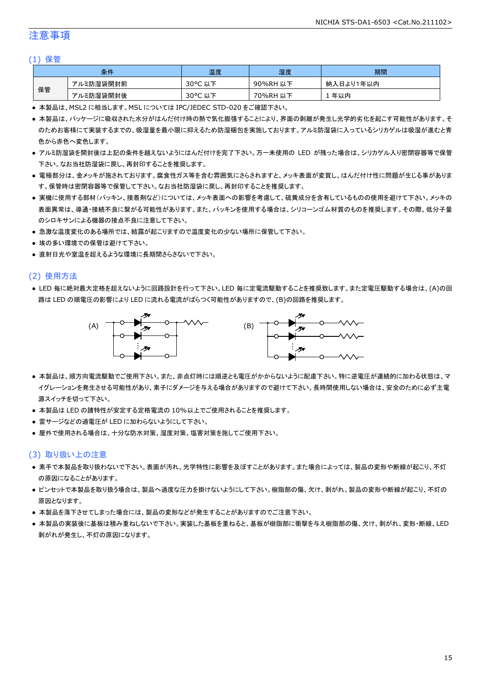### 注意事項

#### (1) 保管

| 条件 |           | 温度                     | 湿度          | 期間              |
|----|-----------|------------------------|-------------|-----------------|
|    | アルミ防湿袋開封前 | $30^{\circ}$ C<br>以下   | 90%RH<br>以下 | ∛入日より1年以内<br>納. |
| 保管 | アルミ防湿袋開封後 | $30^{\circ}$ C<br>. 以下 | 70%RH<br>以下 | 年以内             |

● 本製品は、MSL2 に相当します。MSL については IPC/JEDEC STD-020 をご確認下さい。

- 本製品は、パッケージに吸収された水分がはんだ付け時の熱で気化膨張することにより、界面の剥離が発生し光学的劣化を起こす可能性があります。そ のためお客様にて実装するまでの、吸湿量を最小限に抑えるため防湿梱包を実施しております。アルミ防湿袋に入っているシリカゲルは吸湿が進むと青 色から赤色へ変色します。
- アルミ防湿袋を開封後は上記の条件を越えないようにはんだ付けを完了下さい。万一未使用の LED が残った場合は、シリカゲル入り密閉容器等で保管 下さい。なお当社防湿袋に戻し、再封印することを推奨します。
- 電極部分は、金メッキが施されております。腐食性ガス等を含む雰囲気にさらされますと、メッキ表面が変質し、はんだ付け性に問題が生じる事がありま す。保管時は密閉容器等で保管して下さい。なお当社防湿袋に戻し、再封印することを推奨します。
- 実機に使用する部材(パッキン、接着剤など)については、メッキ表面への影響を考慮して、硫黄成分を含有しているものの使用を避けて下さい。メッキの 表面異常は、導通・接続不良に繋がる可能性があります。また、パッキンを使用する場合は、シリコーンゴム材質のものを推奨します。その際、低分子量 のシロキサンによる機器の接点不良に注意して下さい。
- 急激な温度変化のある場所では、結露が起こりますので温度変化の少ない場所に保管して下さい。
- 埃の多い環境での保管は避けて下さい。
- 直射日光や室温を超えるような環境に長期間さらさないで下さい。

#### (2) 使用方法

● LED 毎に絶対最大定格を超えないように回路設計を行って下さい。LED 毎に定電流駆動することを推奨致します。また定電圧駆動する場合は、(A)の回 路は LED の順電圧の影響により LED に流れる電流がばらつく可能性がありますので、(B)の回路を推奨します。



- 本製品は、順方向電流駆動でご使用下さい。また、非点灯時には順逆とも電圧がかからないように配慮下さい。特に逆電圧が連続的に加わる状態は、マ イグレーションを発生させる可能性があり、素子にダメージを与える場合がありますので避けて下さい。長時間使用しない場合は、安全のために必ず主電 源スイッチを切って下さい。
- 本製品は LED の諸特性が安定する定格電流の 10%以上でご使用されることを推奨します。
- 雷サージなどの過電圧が LED に加わらないようにして下さい。
- 屋外で使用される場合は、十分な防水対策、湿度対策、塩害対策を施してご使用下さい。

#### (3) 取り扱い上の注意

- 素手で本製品を取り扱わないで下さい。表面が汚れ、光学特性に影響を及ぼすことがあります。また場合によっては、製品の変形や断線が起こり、不灯 の原因になることがあります。
- ピンセットで本製品を取り扱う場合は、製品へ過度な圧力を掛けないようにして下さい。樹脂部の傷、欠け、剥がれ、製品の変形や断線が起こり、不灯の 原因となります。
- 本製品を落下させてしまった場合には、製品の変形などが発生することがありますのでご注意下さい。
- 本製品の実装後に基板は積み重ねしないで下さい。実装した基板を重ねると、基板が樹脂部に衝撃を与え樹脂部の傷、欠け、剥がれ、変形・断線、LED 剥がれが発生し、不灯の原因になります。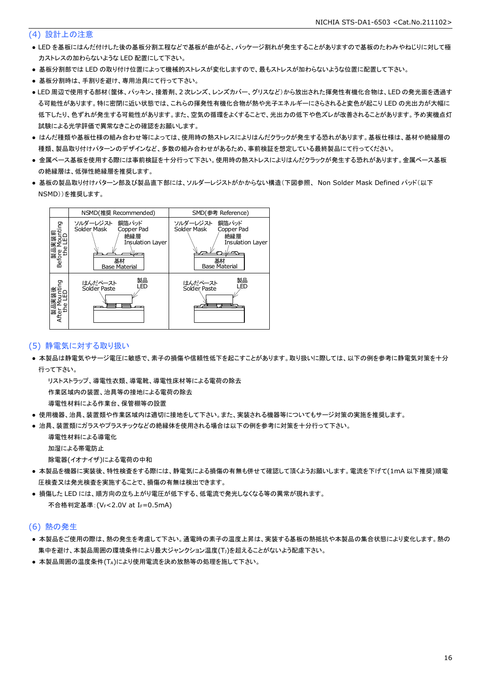#### (4) 設計上の注意

- LED を基板にはんだ付けした後の基板分割工程などで基板が曲がると、パッケージ割れが発生することがありますので基板のたわみやねじりに対して極 力ストレスの加わらないような LED 配置にして下さい。
- 基板分割部では LED の取り付け位置によって機械的ストレスが変化しますので、最もストレスが加わらないような位置に配置して下さい。
- 基板分割時は、手割りを避け、専用治具にて行って下さい。
- LED 周辺で使用する部材(筐体、パッキン、接着剤、2 次レンズ、レンズカバー、グリスなど)から放出された揮発性有機化合物は、LED の発光面を透過す る可能性があります。特に密閉に近い状態では、これらの揮発性有機化合物が熱や光子エネルギーにさらされると変色が起こり LED の光出力が大幅に 低下したり、色ずれが発生する可能性があります。また、空気の循環をよくすることで、光出力の低下や色ズレが改善されることがあります。予め実機点灯 試験による光学評価で異常なきことの確認をお願いします。
- はんだ種類や基板仕様の組み合わせ等によっては、使用時の熱ストレスによりはんだクラックが発生する恐れがあります。基板仕様は、基材や絶縁層の 種類、製品取り付けパターンのデザインなど、多数の組み合わせがあるため、事前検証を想定している最終製品にて行ってください。
- 金属ベース基板を使用する際には事前検証を十分行って下さい。使用時の熱ストレスによりはんだクラックが発生する恐れがあります。金属ベース基板 の絶縁層は、低弾性絶縁層を推奨します。
- 基板の製品取り付けパターン部及び製品直下部には、ソルダーレジストがかからない構造(下図参照、 Non Solder Mask Defined パッド(以下 NSMD))を推奨します。



#### (5) 静電気に対する取り扱い

● 本製品は静電気やサージ電圧に敏感で、素子の損傷や信頼性低下を起こすことがあります。取り扱いに際しては、以下の例を参考に静電気対策を十分 行って下さい。

リストストラップ、導電性衣類、導電靴、導電性床材等による電荷の除去

作業区域内の装置、治具等の接地による電荷の除去

導電性材料による作業台、保管棚等の設置

- 使用機器、治具、装置類や作業区域内は適切に接地をして下さい。また、実装される機器等についてもサージ対策の実施を推奨します。
- 治具、装置類にガラスやプラスチックなどの絶縁体を使用される場合は以下の例を参考に対策を十分行って下さい。

 導電性材料による導電化 加湿による帯電防止

除電器(イオナイザ)による電荷の中和

- 本製品を機器に実装後、特性検査をする際には、静電気による損傷の有無も併せて確認して頂くようお願いします。電流を下げて(1mA 以下推奨)順電 圧検査又は発光検査を実施することで、損傷の有無は検出できます。
- 損傷した LED には、順方向の立ち上がり電圧が低下する、低電流で発光しなくなる等の異常が現れます。 不合格判定基準: (VF<2.0V at IF=0.5mA)

#### (6) 熱の発生

- 本製品をご使用の際は、熱の発生を考慮して下さい。通電時の素子の温度上昇は、実装する基板の熱抵抗や本製品の集合状態により変化します。熱の 集中を避け、本製品周囲の環境条件により最大ジャンクション温度(TJ)を超えることがないよう配慮下さい。
- 本製品周囲の温度条件(TA)により使用電流を決め放熱等の処理を施して下さい。